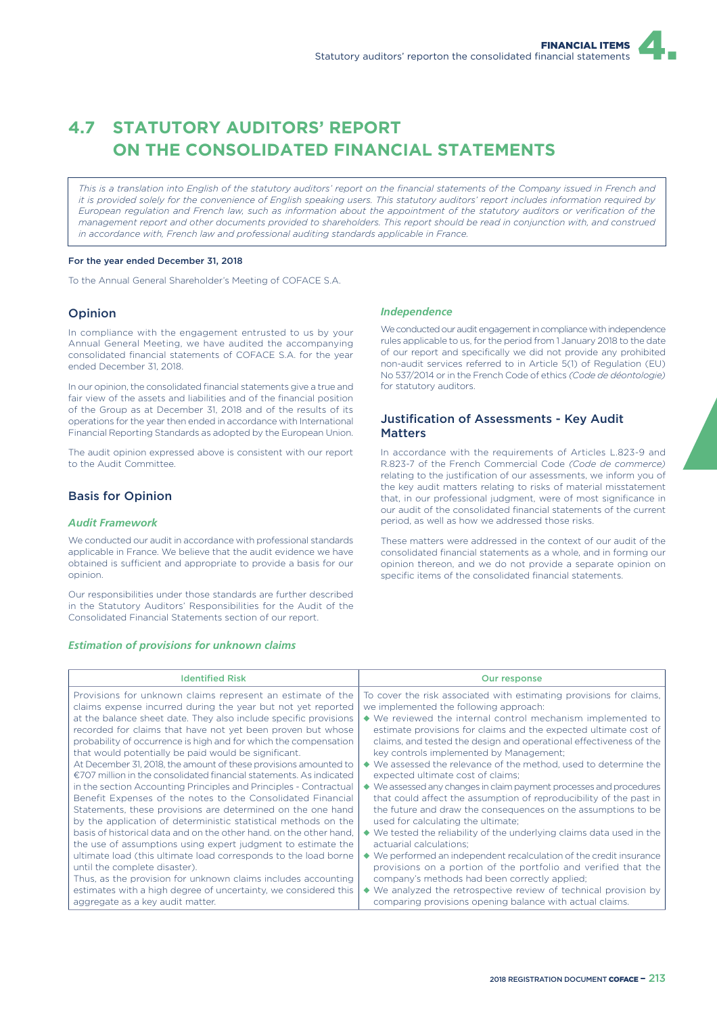# **4.7 STATUTORY AUDITORS' REPORT ON THE CONSOLIDATED FINANCIAL STATEMENTS**

*This is a translation into English of the statutory auditors' report on the financial statements of the Company issued in French and it is provided solely for the convenience of English speaking users. This statutory auditors' report includes information required by European regulation and French law, such as information about the appointment of the statutory auditors or verification of the management report and other documents provided to shareholders. This report should be read in conjunction with, and construed in accordance with, French law and professional auditing standards applicable in France.*

#### For the year ended December 31, 2018

To the Annual General Shareholder's Meeting of COFACE S.A.

## Opinion

In compliance with the engagement entrusted to us by your Annual General Meeting, we have audited the accompanying consolidated financial statements of COFACE S.A. for the year ended December 31, 2018.

In our opinion, the consolidated financial statements give a true and fair view of the assets and liabilities and of the financial position of the Group as at December 31, 2018 and of the results of its operations for the year then ended in accordance with International Financial Reporting Standards as adopted by the European Union.

The audit opinion expressed above is consistent with our report to the Audit Committee.

## Basis for Opinion

#### *Audit Framework*

We conducted our audit in accordance with professional standards applicable in France. We believe that the audit evidence we have obtained is sufficient and appropriate to provide a basis for our opinion.

Our responsibilities under those standards are further described in the Statutory Auditors' Responsibilities for the Audit of the Consolidated Financial Statements section of our report.

#### *Estimation of provisions for unknown claims*

#### *Independence*

We conducted our audit engagement in compliance with independence rules applicable to us, for the period from 1 January 2018 to the date of our report and specifically we did not provide any prohibited non-audit services referred to in Article 5(1) of Regulation (EU) No 537/2014 or in the French Code of ethics *(Code de déontologie)* for statutory auditors.

## Justification of Assessments - Key Audit **Matters**

In accordance with the requirements of Articles L.823-9 and R.823-7 of the French Commercial Code *(Code de commerce)* relating to the justification of our assessments, we inform you of the key audit matters relating to risks of material misstatement that, in our professional judgment, were of most significance in our audit of the consolidated financial statements of the current period, as well as how we addressed those risks.

These matters were addressed in the context of our audit of the consolidated financial statements as a whole, and in forming our opinion thereon, and we do not provide a separate opinion on specific items of the consolidated financial statements.

| <b>Identified Risk</b>                                                        | Our response                                                                        |
|-------------------------------------------------------------------------------|-------------------------------------------------------------------------------------|
| Provisions for unknown claims represent an estimate of the                    | To cover the risk associated with estimating provisions for claims,                 |
| claims expense incurred during the year but not yet reported                  | we implemented the following approach:                                              |
| at the balance sheet date. They also include specific provisions              | $\blacklozenge$ We reviewed the internal control mechanism implemented to           |
| recorded for claims that have not yet been proven but whose                   | estimate provisions for claims and the expected ultimate cost of                    |
| probability of occurrence is high and for which the compensation              | claims, and tested the design and operational effectiveness of the                  |
| that would potentially be paid would be significant.                          | key controls implemented by Management;                                             |
| At December 31, 2018, the amount of these provisions amounted to              | ◆ We assessed the relevance of the method, used to determine the                    |
| $\epsilon$ 707 million in the consolidated financial statements. As indicated | expected ultimate cost of claims;                                                   |
| in the section Accounting Principles and Principles - Contractual             | $\blacklozenge$ We assessed any changes in claim payment processes and procedures   |
| Benefit Expenses of the notes to the Consolidated Financial                   | that could affect the assumption of reproducibility of the past in                  |
| Statements, these provisions are determined on the one hand                   | the future and draw the consequences on the assumptions to be                       |
| by the application of deterministic statistical methods on the                | used for calculating the ultimate;                                                  |
| basis of historical data and on the other hand, on the other hand.            | $\blacklozenge$ We tested the reliability of the underlying claims data used in the |
| the use of assumptions using expert judgment to estimate the                  | actuarial calculations:                                                             |
| ultimate load (this ultimate load corresponds to the load borne               | $\blacklozenge$ We performed an independent recalculation of the credit insurance   |
| until the complete disaster).                                                 | provisions on a portion of the portfolio and verified that the                      |
| Thus, as the provision for unknown claims includes accounting                 | company's methods had been correctly applied;                                       |
| estimates with a high degree of uncertainty, we considered this               | $\blacklozenge$ We analyzed the retrospective review of technical provision by      |
| aggregate as a key audit matter.                                              | comparing provisions opening balance with actual claims.                            |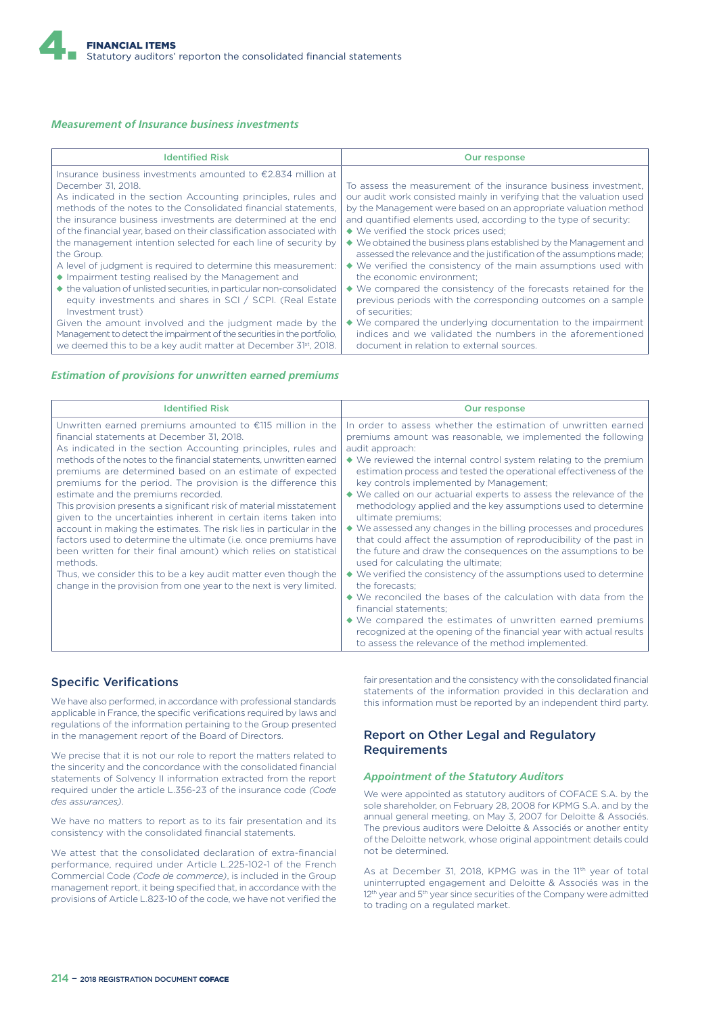#### *Measurement of Insurance business investments*

| <b>Identified Risk</b>                                                                                                                                                                                                                                                                                                                                                                                                                                                                                                                                                                                                                                                                                                                                                                                                                                                                                                                                           | <b>Our response</b>                                                                                                                                                                                                                                                                                                                                                                                                                                                                                                                                                                                                                                                                                                                                                                                                                                                                                                                             |
|------------------------------------------------------------------------------------------------------------------------------------------------------------------------------------------------------------------------------------------------------------------------------------------------------------------------------------------------------------------------------------------------------------------------------------------------------------------------------------------------------------------------------------------------------------------------------------------------------------------------------------------------------------------------------------------------------------------------------------------------------------------------------------------------------------------------------------------------------------------------------------------------------------------------------------------------------------------|-------------------------------------------------------------------------------------------------------------------------------------------------------------------------------------------------------------------------------------------------------------------------------------------------------------------------------------------------------------------------------------------------------------------------------------------------------------------------------------------------------------------------------------------------------------------------------------------------------------------------------------------------------------------------------------------------------------------------------------------------------------------------------------------------------------------------------------------------------------------------------------------------------------------------------------------------|
| Insurance business investments amounted to $\epsilon$ 2.834 million at<br>December 31, 2018.<br>As indicated in the section Accounting principles, rules and<br>methods of the notes to the Consolidated financial statements.<br>the insurance business investments are determined at the end<br>of the financial year, based on their classification associated with<br>the management intention selected for each line of security by<br>the Group.<br>A level of judgment is required to determine this measurement:<br>• Impairment testing realised by the Management and<br>◆ the valuation of unlisted securities, in particular non-consolidated<br>equity investments and shares in SCI / SCPI. (Real Estate<br>Investment trust)<br>Given the amount involved and the judgment made by the<br>Management to detect the impairment of the securities in the portfolio,<br>we deemed this to be a key audit matter at December 31 <sup>st</sup> , 2018. | To assess the measurement of the insurance business investment,<br>our audit work consisted mainly in verifying that the valuation used<br>by the Management were based on an appropriate valuation method<br>and quantified elements used, according to the type of security:<br>◆ We verified the stock prices used;<br>$\blacklozenge$ We obtained the business plans established by the Management and<br>assessed the relevance and the justification of the assumptions made;<br>$\blacklozenge$ We verified the consistency of the main assumptions used with<br>the economic environment:<br>$\blacklozenge$ We compared the consistency of the forecasts retained for the<br>previous periods with the corresponding outcomes on a sample<br>of securities:<br>◆ We compared the underlying documentation to the impairment<br>indices and we validated the numbers in the aforementioned<br>document in relation to external sources. |

### *Estimation of provisions for unwritten earned premiums*

| <b>Identified Risk</b>                                                                                                                                                                                                                                                                                                                                                                                                                                                                                                                                                                                                                                                                                                                                                                                                                                                                                                           | <b>Our response</b>                                                                                                                                                                                                                                                                                                                                                                                                                                                                                                                                                                                                                                                                                                                                                                                                                                                                                                                                                                                                                                                                                                                                                                         |  |
|----------------------------------------------------------------------------------------------------------------------------------------------------------------------------------------------------------------------------------------------------------------------------------------------------------------------------------------------------------------------------------------------------------------------------------------------------------------------------------------------------------------------------------------------------------------------------------------------------------------------------------------------------------------------------------------------------------------------------------------------------------------------------------------------------------------------------------------------------------------------------------------------------------------------------------|---------------------------------------------------------------------------------------------------------------------------------------------------------------------------------------------------------------------------------------------------------------------------------------------------------------------------------------------------------------------------------------------------------------------------------------------------------------------------------------------------------------------------------------------------------------------------------------------------------------------------------------------------------------------------------------------------------------------------------------------------------------------------------------------------------------------------------------------------------------------------------------------------------------------------------------------------------------------------------------------------------------------------------------------------------------------------------------------------------------------------------------------------------------------------------------------|--|
| Unwritten earned premiums amounted to $£115$ million in the<br>financial statements at December 31, 2018.<br>As indicated in the section Accounting principles, rules and<br>methods of the notes to the financial statements, unwritten earned<br>premiums are determined based on an estimate of expected<br>premiums for the period. The provision is the difference this<br>estimate and the premiums recorded.<br>This provision presents a significant risk of material misstatement<br>given to the uncertainties inherent in certain items taken into<br>account in making the estimates. The risk lies in particular in the<br>factors used to determine the ultimate (i.e. once premiums have<br>been written for their final amount) which relies on statistical<br>methods.<br>Thus, we consider this to be a key audit matter even though the<br>change in the provision from one year to the next is very limited. | In order to assess whether the estimation of unwritten earned<br>premiums amount was reasonable, we implemented the following<br>audit approach:<br>$\blacklozenge$ We reviewed the internal control system relating to the premium<br>estimation process and tested the operational effectiveness of the<br>key controls implemented by Management;<br>◆ We called on our actuarial experts to assess the relevance of the<br>methodology applied and the key assumptions used to determine<br>ultimate premiums;<br>$\blacklozenge$ We assessed any changes in the billing processes and procedures<br>that could affect the assumption of reproducibility of the past in<br>the future and draw the consequences on the assumptions to be<br>used for calculating the ultimate;<br>$\blacklozenge$ We verified the consistency of the assumptions used to determine<br>the forecasts:<br>$\blacklozenge$ We reconciled the bases of the calculation with data from the<br>financial statements;<br>◆ We compared the estimates of unwritten earned premiums<br>recognized at the opening of the financial year with actual results<br>to assess the relevance of the method implemented. |  |

# Specific Verifications

We have also performed, in accordance with professional standards applicable in France, the specific verifications required by laws and regulations of the information pertaining to the Group presented in the management report of the Board of Directors.

We precise that it is not our role to report the matters related to the sincerity and the concordance with the consolidated financial statements of Solvency II information extracted from the report required under the article L.356-23 of the insurance code *(Code des assurances)*.

We have no matters to report as to its fair presentation and its consistency with the consolidated financial statements.

We attest that the consolidated declaration of extra-financial performance, required under Article L.225-102-1 of the French Commercial Code *(Code de commerce)*, is included in the Group management report, it being specified that, in accordance with the provisions of Article L.823-10 of the code, we have not verified the

fair presentation and the consistency with the consolidated financial statements of the information provided in this declaration and this information must be reported by an independent third party.

# Report on Other Legal and Regulatory Requirements

#### *Appointment of the Statutory Auditors*

We were appointed as statutory auditors of COFACE S.A. by the sole shareholder, on February 28, 2008 for KPMG S.A. and by the annual general meeting, on May 3, 2007 for Deloitte & Associés. The previous auditors were Deloitte & Associés or another entity of the Deloitte network, whose original appointment details could not be determined.

As at December 31, 2018, KPMG was in the 11<sup>th</sup> year of total uninterrupted engagement and Deloitte & Associés was in the 12<sup>th</sup> year and 5<sup>th</sup> year since securities of the Company were admitted to trading on a regulated market.